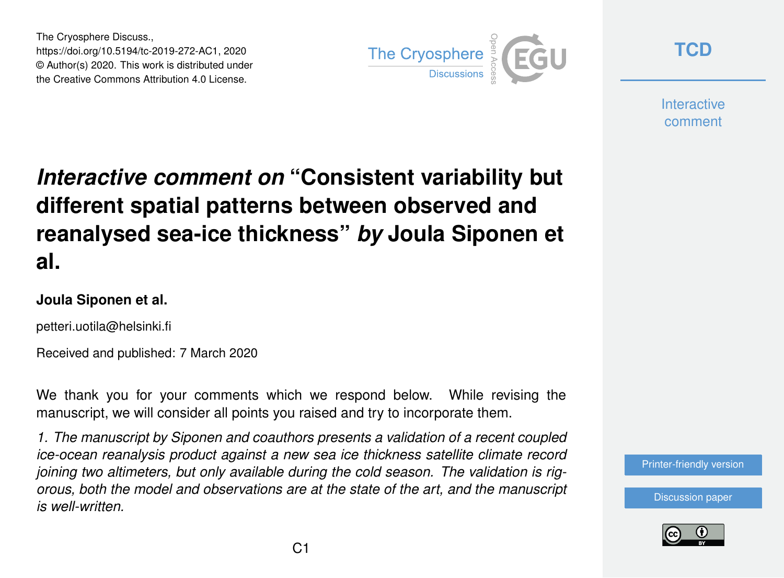The Cryosphere Discuss., https://doi.org/10.5194/tc-2019-272-AC1, 2020 © Author(s) 2020. This work is distributed under the Creative Commons Attribution 4.0 License.



**[TCD](https://www.the-cryosphere-discuss.net/)**

**Interactive** comment

## *Interactive comment on* **"Consistent variability but different spatial patterns between observed and reanalysed sea-ice thickness"** *by* **Joula Siponen et al.**

## **Joula Siponen et al.**

petteri.uotila@helsinki.fi

Received and published: 7 March 2020

We thank you for your comments which we respond below. While revising the manuscript, we will consider all points you raised and try to incorporate them.

*1. The manuscript by Siponen and coauthors presents a validation of a recent coupled ice-ocean reanalysis product against a new sea ice thickness satellite climate record joining two altimeters, but only available during the cold season. The validation is rigorous, both the model and observations are at the state of the art, and the manuscript is well-written.*



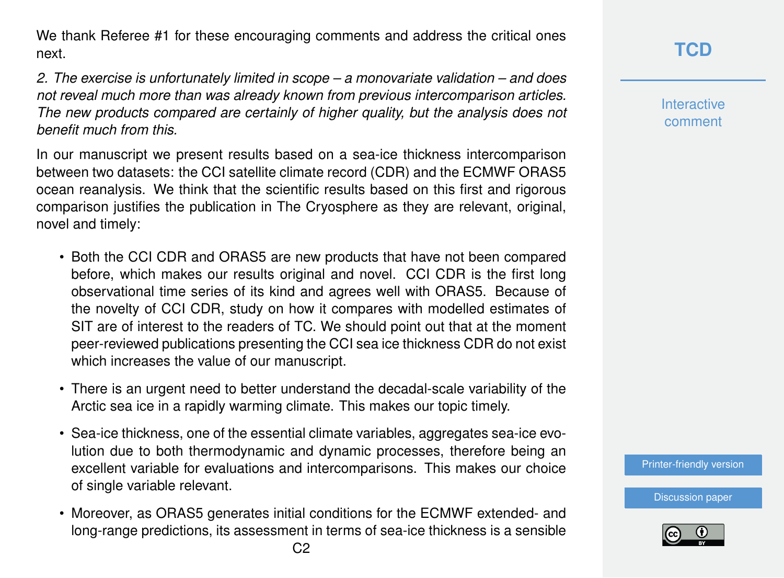We thank Referee #1 for these encouraging comments and address the critical ones next.

*2. The exercise is unfortunately limited in scope – a monovariate validation – and does not reveal much more than was already known from previous intercomparison articles. The new products compared are certainly of higher quality, but the analysis does not benefit much from this.*

In our manuscript we present results based on a sea-ice thickness intercomparison between two datasets: the CCI satellite climate record (CDR) and the ECMWF ORAS5 ocean reanalysis. We think that the scientific results based on this first and rigorous comparison justifies the publication in The Cryosphere as they are relevant, original, novel and timely:

- Both the CCI CDR and ORAS5 are new products that have not been compared before, which makes our results original and novel. CCI CDR is the first long observational time series of its kind and agrees well with ORAS5. Because of the novelty of CCI CDR, study on how it compares with modelled estimates of SIT are of interest to the readers of TC. We should point out that at the moment peer-reviewed publications presenting the CCI sea ice thickness CDR do not exist which increases the value of our manuscript.
- There is an urgent need to better understand the decadal-scale variability of the Arctic sea ice in a rapidly warming climate. This makes our topic timely.
- Sea-ice thickness, one of the essential climate variables, aggregates sea-ice evolution due to both thermodynamic and dynamic processes, therefore being an excellent variable for evaluations and intercomparisons. This makes our choice of single variable relevant.
- Moreover, as ORAS5 generates initial conditions for the ECMWF extended- and long-range predictions, its assessment in terms of sea-ice thickness is a sensible

**Interactive** comment

[Printer-friendly version](https://www.the-cryosphere-discuss.net/tc-2019-272/tc-2019-272-AC1-print.pdf)

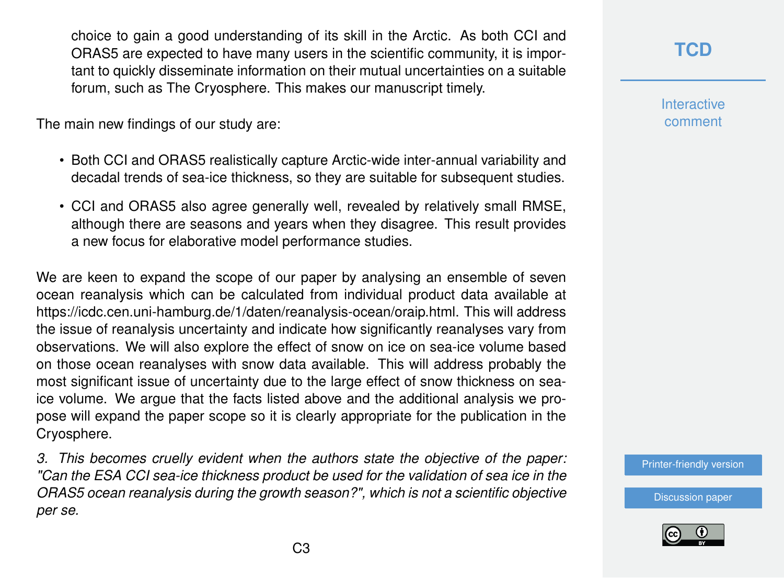choice to gain a good understanding of its skill in the Arctic. As both CCI and ORAS5 are expected to have many users in the scientific community, it is important to quickly disseminate information on their mutual uncertainties on a suitable forum, such as The Cryosphere. This makes our manuscript timely.

The main new findings of our study are:

- Both CCI and ORAS5 realistically capture Arctic-wide inter-annual variability and decadal trends of sea-ice thickness, so they are suitable for subsequent studies.
- CCI and ORAS5 also agree generally well, revealed by relatively small RMSE, although there are seasons and years when they disagree. This result provides a new focus for elaborative model performance studies.

We are keen to expand the scope of our paper by analysing an ensemble of seven ocean reanalysis which can be calculated from individual product data available at https://icdc.cen.uni-hamburg.de/1/daten/reanalysis-ocean/oraip.html. This will address the issue of reanalysis uncertainty and indicate how significantly reanalyses vary from observations. We will also explore the effect of snow on ice on sea-ice volume based on those ocean reanalyses with snow data available. This will address probably the most significant issue of uncertainty due to the large effect of snow thickness on seaice volume. We argue that the facts listed above and the additional analysis we propose will expand the paper scope so it is clearly appropriate for the publication in the Cryosphere.

*3. This becomes cruelly evident when the authors state the objective of the paper: "Can the ESA CCI sea-ice thickness product be used for the validation of sea ice in the ORAS5 ocean reanalysis during the growth season?", which is not a scientific objective per se.*

**[TCD](https://www.the-cryosphere-discuss.net/)**

**Interactive** comment

[Printer-friendly version](https://www.the-cryosphere-discuss.net/tc-2019-272/tc-2019-272-AC1-print.pdf)

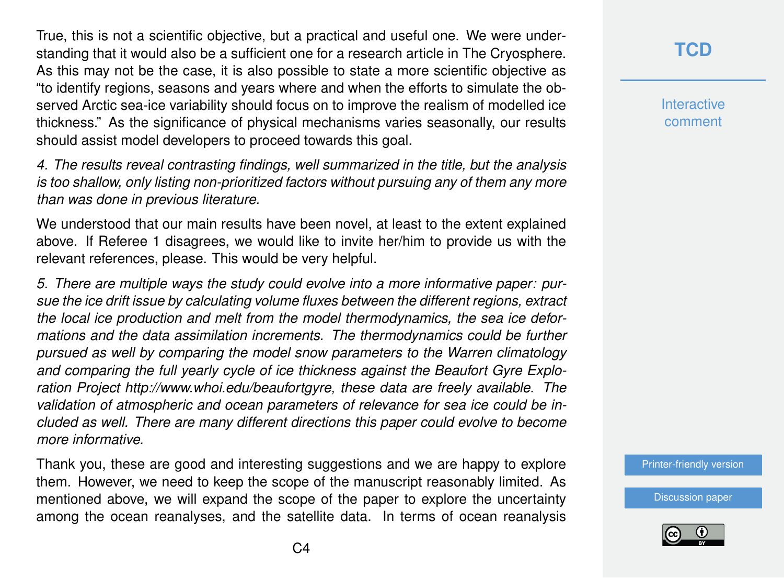True, this is not a scientific objective, but a practical and useful one. We were understanding that it would also be a sufficient one for a research article in The Cryosphere. As this may not be the case, it is also possible to state a more scientific objective as "to identify regions, seasons and years where and when the efforts to simulate the observed Arctic sea-ice variability should focus on to improve the realism of modelled ice thickness." As the significance of physical mechanisms varies seasonally, our results should assist model developers to proceed towards this goal.

*4. The results reveal contrasting findings, well summarized in the title, but the analysis is too shallow, only listing non-prioritized factors without pursuing any of them any more than was done in previous literature.*

We understood that our main results have been novel, at least to the extent explained above. If Referee 1 disagrees, we would like to invite her/him to provide us with the relevant references, please. This would be very helpful.

*5. There are multiple ways the study could evolve into a more informative paper: pursue the ice drift issue by calculating volume fluxes between the different regions, extract the local ice production and melt from the model thermodynamics, the sea ice deformations and the data assimilation increments. The thermodynamics could be further pursued as well by comparing the model snow parameters to the Warren climatology and comparing the full yearly cycle of ice thickness against the Beaufort Gyre Exploration Project http://www.whoi.edu/beaufortgyre, these data are freely available. The validation of atmospheric and ocean parameters of relevance for sea ice could be included as well. There are many different directions this paper could evolve to become more informative.*

Thank you, these are good and interesting suggestions and we are happy to explore them. However, we need to keep the scope of the manuscript reasonably limited. As mentioned above, we will expand the scope of the paper to explore the uncertainty among the ocean reanalyses, and the satellite data. In terms of ocean reanalysis

## **[TCD](https://www.the-cryosphere-discuss.net/)**

**Interactive** comment

[Printer-friendly version](https://www.the-cryosphere-discuss.net/tc-2019-272/tc-2019-272-AC1-print.pdf)